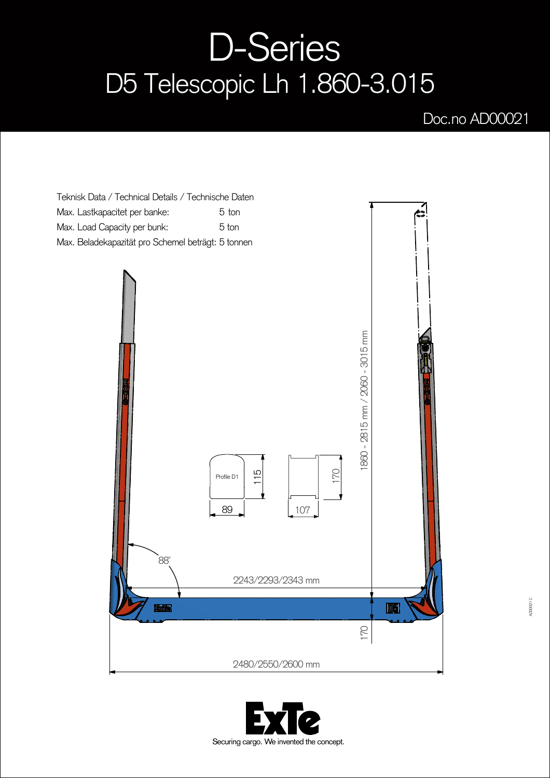## D-Series D5 Telescopic Lh 1.860-3.015

## Doc.no AD00021



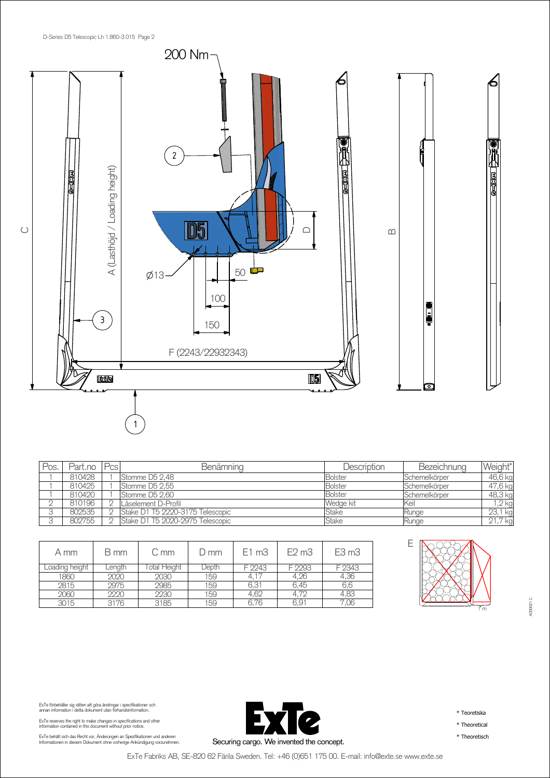

| Pos | Part.no | Pcs | <b>Benämning</b>                 | Description    | Bezeichnung   | Weight*      |
|-----|---------|-----|----------------------------------|----------------|---------------|--------------|
|     | 810428  |     | Stomme D5 2.48                   | <b>Bolster</b> | Schemelkörper | 46,6 kg      |
|     | 810425  |     | Stomme D5 2.55                   | <b>Bolster</b> | Schemelkörper | 47,6 kg      |
|     | 810420  |     | Stomme D5 2.60                   | <b>Bolster</b> | Schemelkörper | 48,3 kg      |
|     | 810196  |     | Låselement D-Profil              | Wedge kit      | lKeil         | $,2$ kg      |
|     | 802535  |     | Stake D1 T5 2220-3175 Telescopic | Stake          | Runge         | 23,1 kg      |
|     | 802755  |     | Stake D1 T5 2020-2975 Telescopic | Stake          | Runge         | ,7 kg<br>21. |

| A mm           | B mm   | C mm         | $D$ mm | $E1 \text{ m}3$ | $E2 \text{ m}3$  | E3 <sub>m3</sub> |
|----------------|--------|--------------|--------|-----------------|------------------|------------------|
| Loading height | Length | lotal Height | Depth  | F 2243          | F 2293           | F 2343           |
| 1860           | 2020   | 2030         | 159    | 4.17            | 4.26             | 4,36             |
| 2815           | 2975   | 2985         | 159    | 6.31            | 6.45             | 6.6              |
| 2060           | 2220   | 2230         | 159    | 4.62            | 4.72             | 4.83             |
| 3015           | 3176   | 3185         | 159    | 6.76            | 6.9 <sub>1</sub> | .U6              |



AD00021 C

ExTe förbehåller sig rätten att göra ändringar i specifikationer och<br>annan information i detta dokument utan förhandsinformation.

ExTe reserves the right to make changes in specifications and other information contained in this document without prior notice.

ExTe behält sich das Recht vor, Änderungen an Spezifikationen und anderen<br>Informationen in diesem Dokument ohne vorherige Ankündigung vorzunehmen.



\* Teoretiska

\* Theoretical

\* Theoretisch

ExTe Fabriks AB, SE-820 62 Färila Sweden. Tel: +46 (0)651 175 00. E-mail: info@exte.se www.exte.se